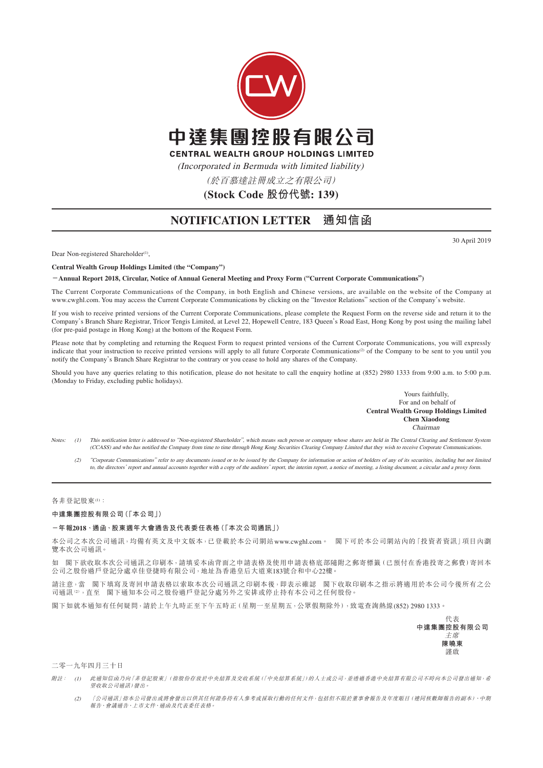

## **NOTIFICATION LETTER 通知信函**

30 April 2019

Dear Non-registered Shareholder<sup>(1)</sup>,

**Central Wealth Group Holdings Limited (the "Company")**

**-Annual Report 2018, Circular, Notice of Annual General Meeting and Proxy Form ("Current Corporate Communications")**

The Current Corporate Communications of the Company, in both English and Chinese versions, are available on the website of the Company at www.cwghl.com. You may access the Current Corporate Communications by clicking on the "Investor Relations" section of the Company's website.

If you wish to receive printed versions of the Current Corporate Communications, please complete the Request Form on the reverse side and return it to the Company's Branch Share Registrar, Tricor Tengis Limited, at Level 22, Hopewell Centre, 183 Queen's Road East, Hong Kong by post using the mailing label (for pre-paid postage in Hong Kong) at the bottom of the Request Form.

Please note that by completing and returning the Request Form to request printed versions of the Current Corporate Communications, you will expressly indicate that your instruction to receive printed versions will apply to all future Corporate Communications(2) of the Company to be sent to you until you notify the Company's Branch Share Registrar to the contrary or you cease to hold any shares of the Company.

Should you have any queries relating to this notification, please do not hesitate to call the enquiry hotline at (852) 2980 1333 from 9:00 a.m. to 5:00 p.m. (Monday to Friday, excluding public holidays).

> Yours faithfully, For and on behalf of **Central Wealth Group Holdings Limited Chen Xiaodong** Chairman

(1) This notification letter is addressed to "Non-registered Shareholder", which means such person or company whose shares are held in The Central Clearing and Settlement System (CCASS) and who has notified the Company from time to time through Hong Kong Securities Clearing Company Limited that they wish to receive Corporate Communications.

 (2) "Corporate Communications" refer to any documents issued or to be issued by the Company for information or action of holders of any of its securities, including but not limited to, the directors' report and annual accounts together with a copy of the auditors' report, the interim report, a notice of meeting, a listing document, a circular and a proxy form.

各非登記股東(1):

**中達集團控股有限公司(「本公司」)**

## **-年報2018、通函、股東週年大會通告及代表委任表格(「本次公司通訊」)**

本公司之本次公司通訊,均備有英文及中文版本,已登載於本公司網站www.cwghl.com。 閣下可於本公司網站內的「投資者資訊」項目內瀏 覽本次公司通訊。

如 閣下欲收取本次公司通訊之印刷本,請填妥本函背面之申請表格及使用申請表格底部隨附之郵寄標籤(已預付在香港投寄之郵費)寄回本 公司之股份過戶登記分處卓佳登捷時有限公司,地址為香港皇后大道東183號合和中心22樓。

請注意,當 閣下填寫及寄回申請表格以索取本次公司通訊之印刷本後,即表示確認 閣下收取印刷本之指示將適用於本公司今後所有之公 司通訊(2),直至 閣下通知本公司之股份過戶登記分處另外之安排或停止持有本公司之任何股份。

閣下如就本通知有任何疑問,請於上午九時正至下午五時正(星期一至星期五,公眾假期除外),致電查詢熱線(852) 2980 1333。



二零一九年四月三十日

- 附註: (1) 此通知信函乃向「非登記股東」(指股份存放於中央結算及交收系統(「中央結算系統」)的人士或公司,並透過香港中央結算有限公司不時向本公司發出通知,希 望收取公司通訊)發出。
	- (2) 「公司通訊」指本公司發出或將會發出以供其任何證券持有人參考或採取行動的任何文件,包括但不限於董事會報告及年度賬目(連同核數師報告的副本)、中期 報告、會議通告、上市文件、通函及代表委任表格。